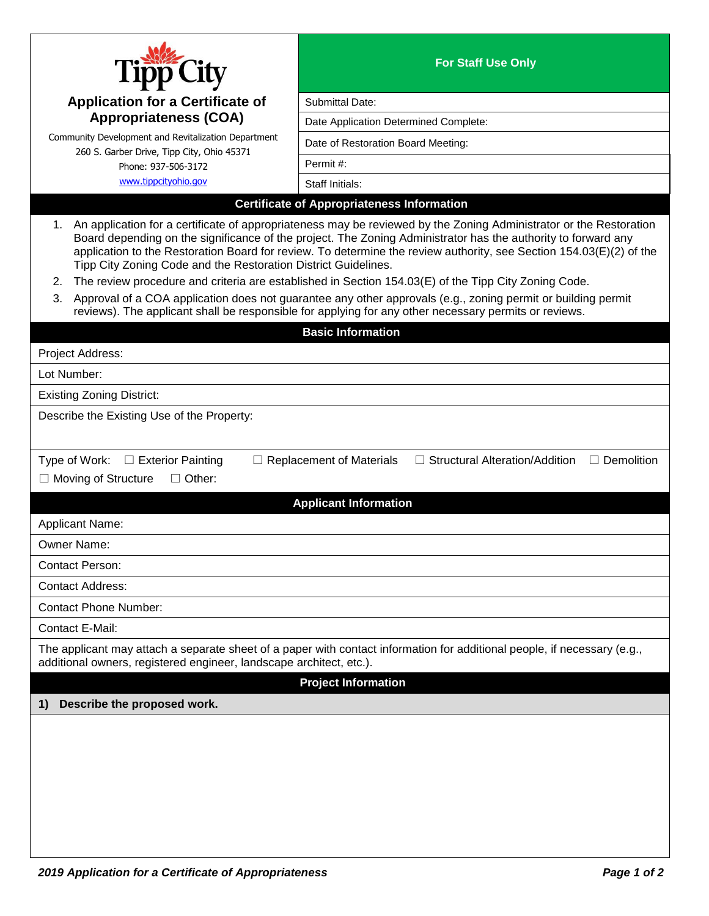|                                                                                                                                                                                                                                                                                                                                                                                                                                    | <b>For Staff Use Only</b>                         |  |
|------------------------------------------------------------------------------------------------------------------------------------------------------------------------------------------------------------------------------------------------------------------------------------------------------------------------------------------------------------------------------------------------------------------------------------|---------------------------------------------------|--|
| <b>Application for a Certificate of</b>                                                                                                                                                                                                                                                                                                                                                                                            | Submittal Date:                                   |  |
| <b>Appropriateness (COA)</b>                                                                                                                                                                                                                                                                                                                                                                                                       | Date Application Determined Complete:             |  |
| Community Development and Revitalization Department                                                                                                                                                                                                                                                                                                                                                                                | Date of Restoration Board Meeting:                |  |
| 260 S. Garber Drive, Tipp City, Ohio 45371<br>Phone: 937-506-3172                                                                                                                                                                                                                                                                                                                                                                  | Permit#:                                          |  |
| www.tippcityohio.gov                                                                                                                                                                                                                                                                                                                                                                                                               | Staff Initials:                                   |  |
|                                                                                                                                                                                                                                                                                                                                                                                                                                    | <b>Certificate of Appropriateness Information</b> |  |
| An application for a certificate of appropriateness may be reviewed by the Zoning Administrator or the Restoration<br>1.<br>Board depending on the significance of the project. The Zoning Administrator has the authority to forward any<br>application to the Restoration Board for review. To determine the review authority, see Section 154.03(E)(2) of the<br>Tipp City Zoning Code and the Restoration District Guidelines. |                                                   |  |
| The review procedure and criteria are established in Section 154.03(E) of the Tipp City Zoning Code.<br>2.                                                                                                                                                                                                                                                                                                                         |                                                   |  |
| Approval of a COA application does not guarantee any other approvals (e.g., zoning permit or building permit<br>3.<br>reviews). The applicant shall be responsible for applying for any other necessary permits or reviews.                                                                                                                                                                                                        |                                                   |  |
| <b>Basic Information</b>                                                                                                                                                                                                                                                                                                                                                                                                           |                                                   |  |
| Project Address:                                                                                                                                                                                                                                                                                                                                                                                                                   |                                                   |  |
| Lot Number:                                                                                                                                                                                                                                                                                                                                                                                                                        |                                                   |  |
| <b>Existing Zoning District:</b>                                                                                                                                                                                                                                                                                                                                                                                                   |                                                   |  |
| Describe the Existing Use of the Property:                                                                                                                                                                                                                                                                                                                                                                                         |                                                   |  |
|                                                                                                                                                                                                                                                                                                                                                                                                                                    |                                                   |  |
| □ Structural Alteration/Addition<br>Type of Work:<br>$\Box$ Exterior Painting<br>$\Box$ Demolition<br>$\Box$ Replacement of Materials<br>□ Moving of Structure<br>$\Box$ Other:<br><b>Applicant Information</b>                                                                                                                                                                                                                    |                                                   |  |
| Applicant Name:                                                                                                                                                                                                                                                                                                                                                                                                                    |                                                   |  |
| Owner Name:                                                                                                                                                                                                                                                                                                                                                                                                                        |                                                   |  |
| <b>Contact Person:</b>                                                                                                                                                                                                                                                                                                                                                                                                             |                                                   |  |
| <b>Contact Address:</b>                                                                                                                                                                                                                                                                                                                                                                                                            |                                                   |  |
| <b>Contact Phone Number:</b>                                                                                                                                                                                                                                                                                                                                                                                                       |                                                   |  |
| Contact E-Mail:                                                                                                                                                                                                                                                                                                                                                                                                                    |                                                   |  |
| The applicant may attach a separate sheet of a paper with contact information for additional people, if necessary (e.g.,<br>additional owners, registered engineer, landscape architect, etc.).                                                                                                                                                                                                                                    |                                                   |  |
| <b>Project Information</b>                                                                                                                                                                                                                                                                                                                                                                                                         |                                                   |  |
| Describe the proposed work.<br>1)                                                                                                                                                                                                                                                                                                                                                                                                  |                                                   |  |
|                                                                                                                                                                                                                                                                                                                                                                                                                                    |                                                   |  |
|                                                                                                                                                                                                                                                                                                                                                                                                                                    |                                                   |  |